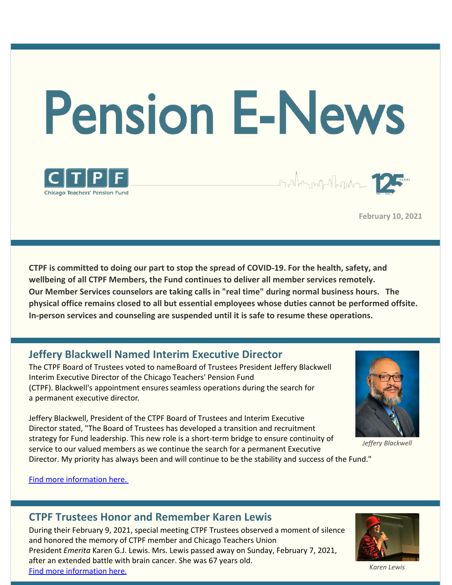# **Pension E-News**



Standard party of the Table

**February 10, 2021**

**CTPF is committed to doing our part to stop the spread of COVID-19. For the health, safety, and wellbeing of all CTPF Members, the Fund continues to deliver all member services remotely. Our Member Services counselors are taking calls in "real time" during normal business hours. The physical office remains closed to all but essential employees whose duties cannot be performed offsite. In-person services and counseling are suspended until it is safe to resume these operations.**

# **Jeffery Blackwell Named Interim Executive Director**

The CTPF Board of Trustees voted to nameBoard of Trustees President Jeffery Blackwell Interim Executive Director of the Chicago Teachers' Pension Fund (CTPF). Blackwell's appointment ensuresseamless operations during the search for a permanent executive director.

Jeffery Blackwell, President of the CTPF Board of Trustees and Interim Executive Director stated, "The Board of Trustees has developed a transition and recruitment strategy for Fund leadership. This new role is a short-term bridge to ensure continuity of service to our valued members as we continue the search for a permanent Executive Director. My priority has always been and will continue to be the stability and success of the Fund."

*Jeffery Blackwell*

Find more [information](http://r20.rs6.net/tn.jsp?f=001SiaBOUof8k17OviTZm9JF3F-LAandswMfUjM-rT3JLC7__7LPmzsP9RAS_VgX8neNdUv1xLghRFNlYSfm_jgvn05Wdo0FQ1RObmDUjP0VPLdcmBTMV6RH3aJ2-Y_xCf4Xb0BoYwPZlEcqWQBJxttZkvV7SYC3g5_BOnMVt75EfCAeMfffjKE8e2NdsWxayc9gZjR1NvXRNxyn8wdSl9GHyW96armpnyerqNSLkYHa2dQQ9G14iPheMeLK4YhnywjXINftOBdASeVhm5rFnt5Ttt9Oyehx46o&c=&ch=) here.

# **CTPF Trustees Honor and Remember Karen Lewis**

During their February 9, 2021, special meeting CTPF Trustees observed a moment of silence and honored the memory of CTPF member and Chicago Teachers Union President *Emerita* Karen G.J. Lewis. Mrs. Lewis passed away on Sunday, February 7, 2021, after an extended battle with brain cancer. She was 67 years old. Find more [information](http://r20.rs6.net/tn.jsp?f=001SiaBOUof8k17OviTZm9JF3F-LAandswMfUjM-rT3JLC7__7LPmzsP9RAS_VgX8nehn-hdwoxWjHsUBEFrtlRARBO5b5e373-klGHMztze7rgHk-cz-KVpmRfcvWdXGleT0q2RhoGpPWTwMPjhsKpZJnAPlp1GYKU6u_JFV0lTv7zhhmaj6uqLukcWizTYlg4pxADnAigSrdjrBHXTTxFGlnYAyTmW4oPRDOMhqYAV58nhqXuDBFz9A==&c=&ch=) here.



*Karen Lewis*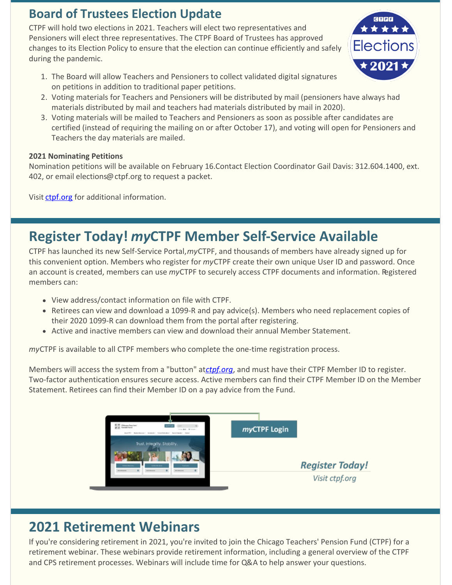# **Board of Trustees Election Update**

CTPF will hold two elections in 2021. Teachers will elect two representatives and Pensioners will elect three representatives. The CTPF Board of Trustees has approved changes to its Election Policy to ensure that the election can continue efficiently and safely during the pandemic.

- 1. The Board will allow Teachers and Pensioners to collect validated digital signatures on petitions in addition to traditional paper petitions.
- 2. Voting materials for Teachers and Pensioners will be distributed by mail (pensioners have always had materials distributed by mail and teachers had materials distributed by mail in 2020).
- 3. Voting materials will be mailed to Teachers and Pensioners as soon as possible after candidates are certified (instead of requiring the mailing on or after October 17), and voting will open for Pensioners and Teachers the day materials are mailed.

**GEPE** \* \* \* \*

**Elections** 

# **2021 Nominating Petitions**

Nomination petitions will be available on February 16.Contact Election Coordinator Gail Davis: 312.604.1400, ext. 402, or email elections@ctpf.org to request a packet.

Visit [ctpf.org](http://r20.rs6.net/tn.jsp?f=001SiaBOUof8k17OviTZm9JF3F-LAandswMfUjM-rT3JLC7__7LPmzsP9RAS_VgX8ne0NH9Y5GRpkEyZtUZzkOEhzkr7AQBd8bZhzc_RG9sgkva5p-a3UVOdUgTKQhg3B7fLWoN1XfEPYVQ-mngCrg7lBE1aPle2mxIMNOH-XeKvWT5CBkml863vIZtPPiuswEbW8GDsoBYaJxgWdQZYO97XQ==&c=&ch=) for additional information.

# **Register Today!** *my***CTPF Member Self-Service Available**

CTPF has launched its new Self-Service Portal,*my*CTPF, and thousands of members have already signed up for this convenient option. Members who register for *my*CTPF create their own unique User ID and password. Once an account is created, members can use *my*CTPF to securely access CTPF documents and information. Registered members can:

- View address/contact information on file with CTPF.
- Retirees can view and download a 1099-R and pay advice(s). Members who need replacement copies of their 2020 1099-R can download them from the portal after registering.
- Active and inactive members can view and download their annual Member Statement.

*my*CTPF is available to all CTPF members who complete the one-time registration process.

Members will access the system from a "button" at*[ctpf.org](http://r20.rs6.net/tn.jsp?f=001SiaBOUof8k17OviTZm9JF3F-LAandswMfUjM-rT3JLC7__7LPmzsPwNZPU2WQ39V5urFmXDPD4A2mq4w-Kd2N5WY9J6B7dDXWrxp12qu5Ob4cK0tsXL1bnSznE3yRaaPsiJ-EnmguU0-30MxFUq6SqBkylM3I9rm&c=&ch=)*, and must have their CTPF Member ID to register. Two-factor authentication ensures secure access. Active members can find their CTPF Member ID on the Member Statement. Retirees can find their Member ID on a pay advice from the Fund.



# **2021 Retirement Webinars**

If you're considering retirement in 2021, you're invited to join the Chicago Teachers' Pension Fund (CTPF) for a retirement webinar. These webinars provide retirement information, including a general overview of the CTPF and CPS retirement processes. Webinars will include time for Q&A to help answer your questions.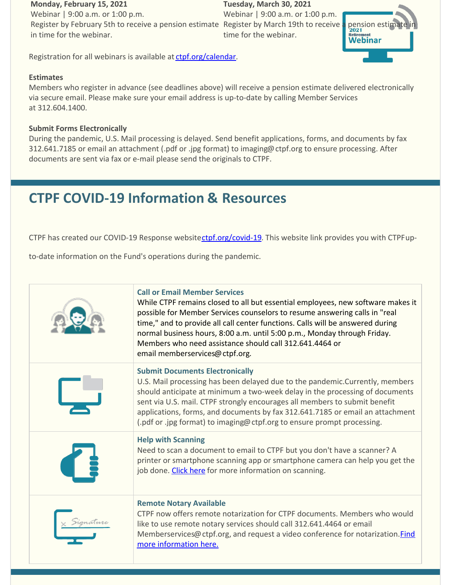### **Monday, February 15, 2021**

Webinar | 9:00 a.m. or 1:00 p.m. Register by February 5th to receive a pension estimate Register by March 19th to receive a pension estimate in in time for the webinar.

**Tuesday, March 30, 2021** Webinar | 9:00 a.m. or 1:00 p.m. time for the webinar.



Registration for all webinars is available at [ctpf.org/calendar](http://r20.rs6.net/tn.jsp?f=001SiaBOUof8k17OviTZm9JF3F-LAandswMfUjM-rT3JLC7__7LPmzsP6o588sEsIzY9NxWQ7J240ATo3b8gfrrAJYH4MVhvKANjrzgMDJFjtv0wSfQg-JZxcaRfXQv8ynrTAESKyRrYjWRej1KltSWoISKvPziagkQPCWuZxnEi_U=&c=&ch=).

## **Estimates**

Members who register in advance (see deadlines above) will receive a pension estimate delivered electronically via secure email. Please make sure your email address is up-to-date by calling Member Services at 312.604.1400.

# **Submit Forms Electronically**

During the pandemic, U.S. Mail processing is delayed. Send benefit applications, forms, and documents by fax 312.641.7185 or email an attachment (.pdf or .jpg format) to imaging@ctpf.org to ensure processing. After documents are sent via fax or e-mail please send the originals to CTPF.

# **CTPF COVID-19 Information & Resources**

CTPF has created our COVID-19 Response website[ctpf.org/covid-19](http://r20.rs6.net/tn.jsp?f=001SiaBOUof8k17OviTZm9JF3F-LAandswMfUjM-rT3JLC7__7LPmzsP6o588sEsIzYncV9uGch_-BNH8qAE5f9hyKXyje_wYfAJgf_1wYqjt4pWV0Zj7ez9v_qVRqygx0mVGUv3MplvFmhKYKsxMnxCEeC7H473b4p8wuEmfYZTjM=&c=&ch=). This website link provides you with CTPFup-

to-date information on the Fund's operations during the pandemic.

| <b>Call or Email Member Services</b><br>While CTPF remains closed to all but essential employees, new software makes it<br>possible for Member Services counselors to resume answering calls in "real<br>time," and to provide all call center functions. Calls will be answered during<br>normal business hours, 8:00 a.m. until 5:00 p.m., Monday through Friday.<br>Members who need assistance should call 312.641.4464 or<br>email memberservices@ctpf.org. |
|------------------------------------------------------------------------------------------------------------------------------------------------------------------------------------------------------------------------------------------------------------------------------------------------------------------------------------------------------------------------------------------------------------------------------------------------------------------|
| <b>Submit Documents Electronically</b><br>U.S. Mail processing has been delayed due to the pandemic. Currently, members<br>should anticipate at minimum a two-week delay in the processing of documents<br>sent via U.S. mail. CTPF strongly encourages all members to submit benefit<br>applications, forms, and documents by fax 312.641.7185 or email an attachment<br>(.pdf or .jpg format) to imaging@ctpf.org to ensure prompt processing.                 |
| <b>Help with Scanning</b><br>Need to scan a document to email to CTPF but you don't have a scanner? A<br>printer or smartphone scanning app or smartphone camera can help you get the<br>job done. Click here for more information on scanning.                                                                                                                                                                                                                  |
| <b>Remote Notary Available</b><br>CTPF now offers remote notarization for CTPF documents. Members who would<br>like to use remote notary services should call 312.641.4464 or email<br>Memberservices@ctpf.org, and request a video conference for notarization. <i>Find</i><br>more information here.                                                                                                                                                           |